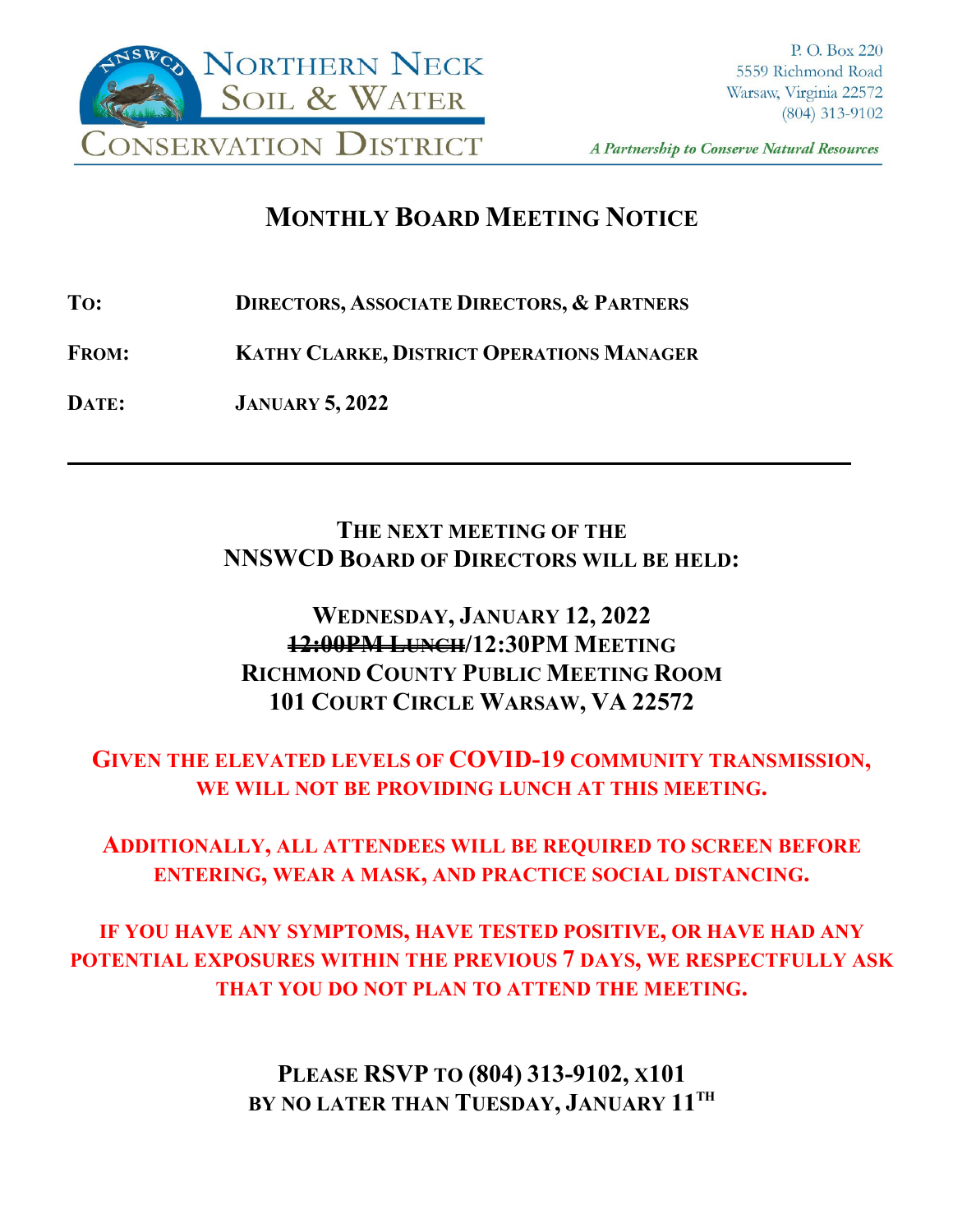

A Partnership to Conserve Natural Resources

**\_\_\_\_**

# **MONTHLY BOARD MEETING NOTICE**

**TO: DIRECTORS, ASSOCIATE DIRECTORS, & PARTNERS**

**FROM: KATHY CLARKE, DISTRICT OPERATIONS MANAGER**

**DATE: JANUARY 5, 2022**

### **THE NEXT MEETING OF THE NNSWCD BOARD OF DIRECTORS WILL BE HELD:**

# **WEDNESDAY, JANUARY 12, 2022 12:00PM LUNCH/12:30PM MEETING RICHMOND COUNTY PUBLIC MEETING ROOM 101 COURT CIRCLE WARSAW, VA 22572**

# **GIVEN THE ELEVATED LEVELS OF COVID-19 COMMUNITY TRANSMISSION, WE WILL NOT BE PROVIDING LUNCH AT THIS MEETING.**

### **ADDITIONALLY, ALL ATTENDEES WILL BE REQUIRED TO SCREEN BEFORE ENTERING, WEAR A MASK, AND PRACTICE SOCIAL DISTANCING.**

**IF YOU HAVE ANY SYMPTOMS, HAVE TESTED POSITIVE, OR HAVE HAD ANY POTENTIAL EXPOSURES WITHIN THE PREVIOUS 7 DAYS, WE RESPECTFULLY ASK THAT YOU DO NOT PLAN TO ATTEND THE MEETING.**

> **PLEASE RSVP TO (804) 313-9102, X101 BY NO LATER THAN TUESDAY, JANUARY 11TH**